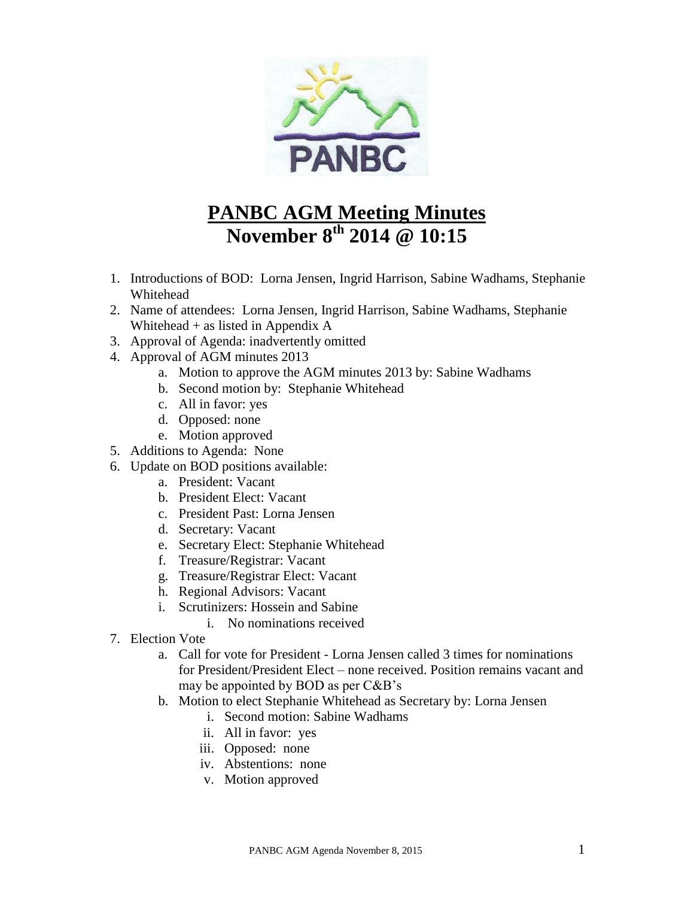

## **PANBC AGM Meeting Minutes November 8th 2014 @ 10:15**

- 1. Introductions of BOD: Lorna Jensen, Ingrid Harrison, Sabine Wadhams, Stephanie Whitehead
- 2. Name of attendees: Lorna Jensen, Ingrid Harrison, Sabine Wadhams, Stephanie Whitehead + as listed in Appendix A
- 3. Approval of Agenda: inadvertently omitted
- 4. Approval of AGM minutes 2013
	- a. Motion to approve the AGM minutes 2013 by: Sabine Wadhams
	- b. Second motion by: Stephanie Whitehead
	- c. All in favor: yes
	- d. Opposed: none
	- e. Motion approved
- 5. Additions to Agenda: None
- 6. Update on BOD positions available:
	- a. President: Vacant
	- b. President Elect: Vacant
	- c. President Past: Lorna Jensen
	- d. Secretary: Vacant
	- e. Secretary Elect: Stephanie Whitehead
	- f. Treasure/Registrar: Vacant
	- g. Treasure/Registrar Elect: Vacant
	- h. Regional Advisors: Vacant
	- i. Scrutinizers: Hossein and Sabine
		- i. No nominations received
- 7. Election Vote
	- a. Call for vote for President Lorna Jensen called 3 times for nominations for President/President Elect – none received. Position remains vacant and may be appointed by BOD as per C&B's
	- b. Motion to elect Stephanie Whitehead as Secretary by: Lorna Jensen
		- i. Second motion: Sabine Wadhams
		- ii. All in favor: yes
		- iii. Opposed: none
		- iv. Abstentions: none
		- v. Motion approved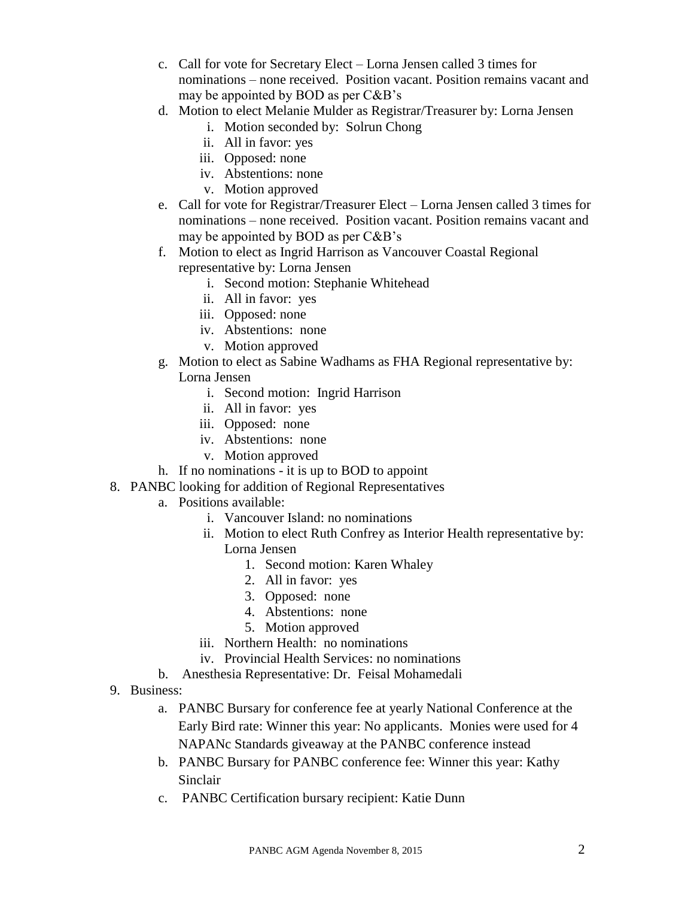- c. Call for vote for Secretary Elect Lorna Jensen called 3 times for nominations – none received. Position vacant. Position remains vacant and may be appointed by BOD as per C&B's
- d. Motion to elect Melanie Mulder as Registrar/Treasurer by: Lorna Jensen
	- i. Motion seconded by: Solrun Chong
	- ii. All in favor: yes
	- iii. Opposed: none
	- iv. Abstentions: none
	- v. Motion approved
- e. Call for vote for Registrar/Treasurer Elect Lorna Jensen called 3 times for nominations – none received. Position vacant. Position remains vacant and may be appointed by BOD as per C&B's
- f. Motion to elect as Ingrid Harrison as Vancouver Coastal Regional representative by: Lorna Jensen
	- i. Second motion: Stephanie Whitehead
	- ii. All in favor: yes
	- iii. Opposed: none
	- iv. Abstentions: none
	- v. Motion approved
- g. Motion to elect as Sabine Wadhams as FHA Regional representative by: Lorna Jensen
	- i. Second motion: Ingrid Harrison
	- ii. All in favor: yes
	- iii. Opposed: none
	- iv. Abstentions: none
	- v. Motion approved
- h. If no nominations it is up to BOD to appoint
- 8. PANBC looking for addition of Regional Representatives
	- a. Positions available:
		- i. Vancouver Island: no nominations
		- ii. Motion to elect Ruth Confrey as Interior Health representative by: Lorna Jensen
			- 1. Second motion: Karen Whaley
			- 2. All in favor: yes
			- 3. Opposed: none
			- 4. Abstentions: none
			- 5. Motion approved
		- iii. Northern Health: no nominations
		- iv. Provincial Health Services: no nominations
	- b. Anesthesia Representative: Dr. Feisal Mohamedali
- 9. Business:
	- a. PANBC Bursary for conference fee at yearly National Conference at the Early Bird rate: Winner this year: No applicants. Monies were used for 4 NAPANc Standards giveaway at the PANBC conference instead
	- b. PANBC Bursary for PANBC conference fee: Winner this year: Kathy Sinclair
	- c. PANBC Certification bursary recipient: Katie Dunn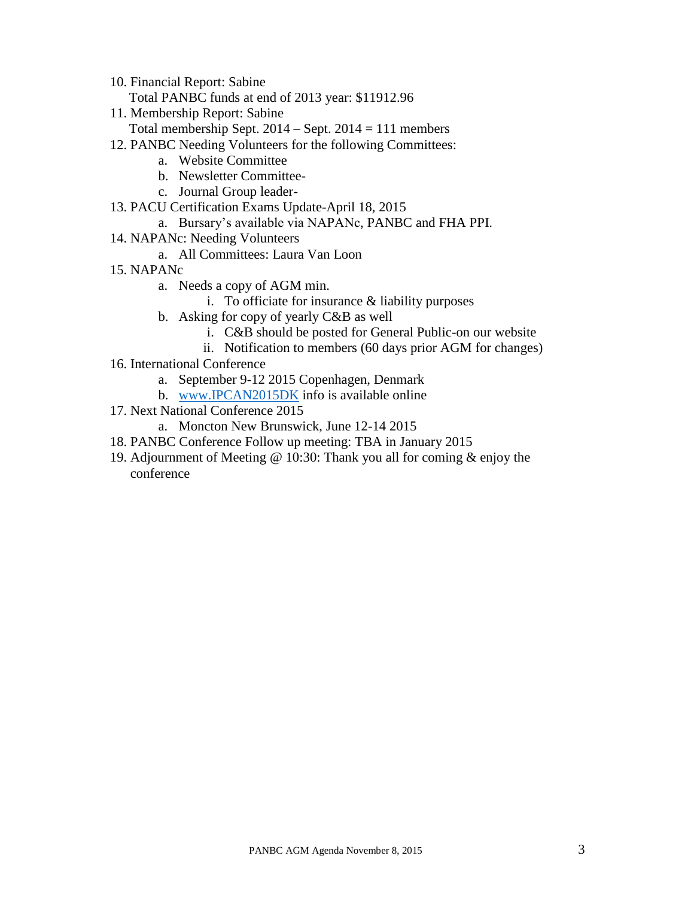- 10. Financial Report: Sabine
	- Total PANBC funds at end of 2013 year: \$11912.96
- 11. Membership Report: Sabine
- Total membership Sept.  $2014 -$  Sept.  $2014 = 111$  members
- 12. PANBC Needing Volunteers for the following Committees:
	- a. Website Committee
	- b. Newsletter Committee-
	- c. Journal Group leader-
- 13. PACU Certification Exams Update-April 18, 2015
	- a. Bursary's available via NAPANc, PANBC and FHA PPI.
- 14. NAPANc: Needing Volunteers
	- a. All Committees: Laura Van Loon
- 15. NAPANc
	- a. Needs a copy of AGM min.
		- i. To officiate for insurance & liability purposes
	- b. Asking for copy of yearly C&B as well
		- i. C&B should be posted for General Public-on our website
		- ii. Notification to members (60 days prior AGM for changes)
- 16. International Conference
	- a. September 9-12 2015 Copenhagen, Denmark
	- b. [www.IPCAN2015DK](http://www.ipcan2015dk/) info is available online
- 17. Next National Conference 2015
	- a. Moncton New Brunswick, June 12-14 2015
- 18. PANBC Conference Follow up meeting: TBA in January 2015
- 19. Adjournment of Meeting @ 10:30: Thank you all for coming & enjoy the conference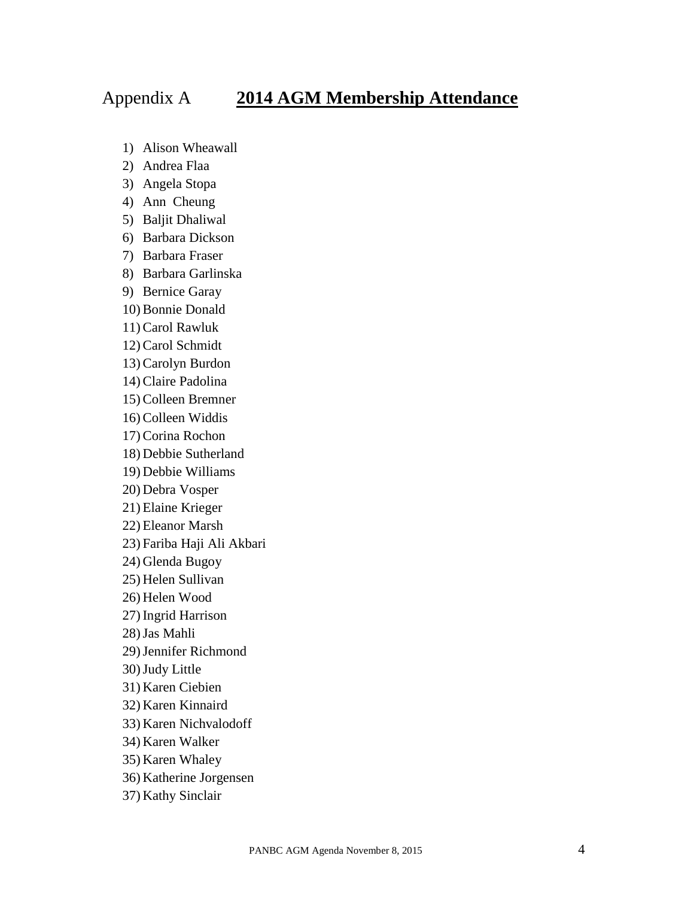## Appendix A **2014 AGM Membership Attendance**

- 1) Alison Wheawall
- 2) Andrea Flaa
- 3) Angela Stopa
- 4) Ann Cheung
- 5) Baljit Dhaliwal
- 6) Barbara Dickson
- 7) Barbara Fraser
- 8) Barbara Garlinska
- 9) Bernice Garay
- 10) Bonnie Donald
- 11) Carol Rawluk
- 12) Carol Schmidt
- 13) Carolyn Burdon
- 14) Claire Padolina
- 15) Colleen Bremner
- 16) Colleen Widdis
- 17) Corina Rochon
- 18) Debbie Sutherland
- 19) Debbie Williams
- 20) Debra Vosper
- 21) Elaine Krieger
- 22) Eleanor Marsh
- 23) Fariba Haji Ali Akbari
- 24) Glenda Bugoy
- 25) Helen Sullivan
- 26) Helen Wood
- 27) Ingrid Harrison
- 28)Jas Mahli
- 29)Jennifer Richmond
- 30)Judy Little
- 31) Karen Ciebien
- 32) Karen Kinnaird
- 33) Karen Nichvalodoff
- 34) Karen Walker
- 35) Karen Whaley
- 36) Katherine Jorgensen
- 37) Kathy Sinclair